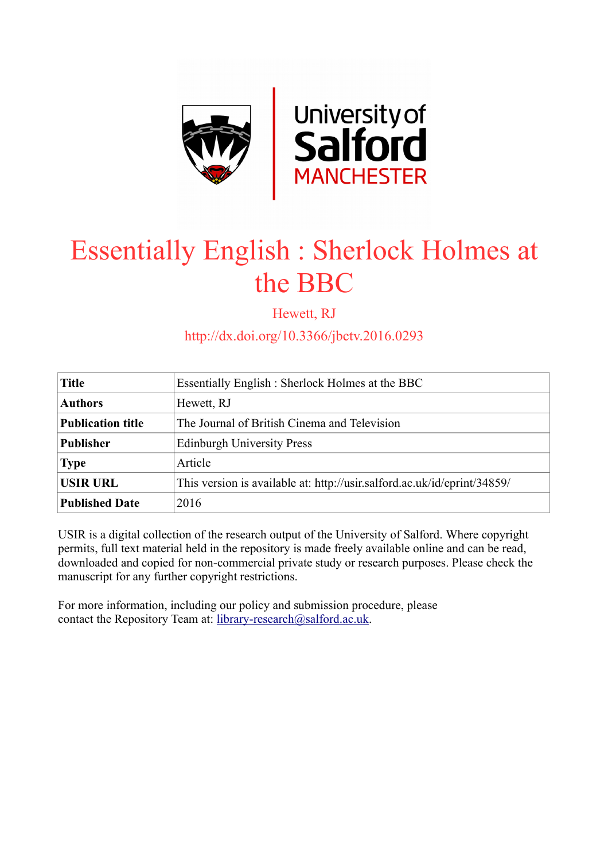

# Essentially English : Sherlock Holmes at the BBC

Hewett, RJ

http://dx.doi.org/10.3366/jbctv.2016.0293

| <b>Title</b>             | Essentially English : Sherlock Holmes at the BBC                         |
|--------------------------|--------------------------------------------------------------------------|
| <b>Authors</b>           | Hewett, RJ                                                               |
| <b>Publication title</b> | The Journal of British Cinema and Television                             |
| <b>Publisher</b>         | <b>Edinburgh University Press</b>                                        |
| <b>Type</b>              | Article                                                                  |
| <b>USIR URL</b>          | This version is available at: http://usir.salford.ac.uk/id/eprint/34859/ |
| <b>Published Date</b>    | 2016                                                                     |

USIR is a digital collection of the research output of the University of Salford. Where copyright permits, full text material held in the repository is made freely available online and can be read, downloaded and copied for non-commercial private study or research purposes. Please check the manuscript for any further copyright restrictions.

For more information, including our policy and submission procedure, please contact the Repository Team at: [library-research@salford.ac.uk.](mailto:library-research@salford.ac.uk)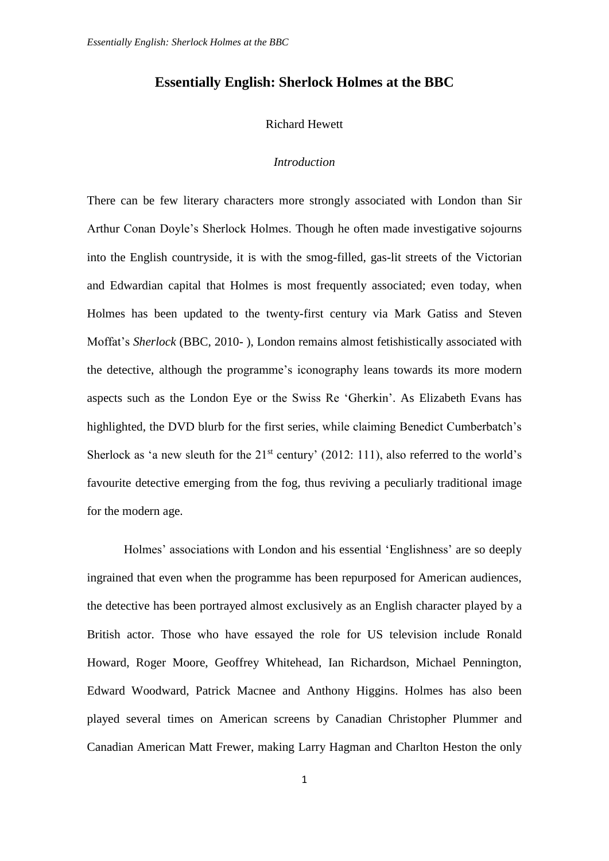## **Essentially English: Sherlock Holmes at the BBC**

#### Richard Hewett

### *Introduction*

There can be few literary characters more strongly associated with London than Sir Arthur Conan Doyle's Sherlock Holmes. Though he often made investigative sojourns into the English countryside, it is with the smog-filled, gas-lit streets of the Victorian and Edwardian capital that Holmes is most frequently associated; even today, when Holmes has been updated to the twenty-first century via Mark Gatiss and Steven Moffat's *Sherlock* (BBC, 2010- ), London remains almost fetishistically associated with the detective, although the programme's iconography leans towards its more modern aspects such as the London Eye or the Swiss Re 'Gherkin'. As Elizabeth Evans has highlighted, the DVD blurb for the first series, while claiming Benedict Cumberbatch's Sherlock as 'a new sleuth for the  $21<sup>st</sup>$  century' (2012: 111), also referred to the world's favourite detective emerging from the fog, thus reviving a peculiarly traditional image for the modern age.

Holmes' associations with London and his essential 'Englishness' are so deeply ingrained that even when the programme has been repurposed for American audiences, the detective has been portrayed almost exclusively as an English character played by a British actor. Those who have essayed the role for US television include Ronald Howard, Roger Moore, Geoffrey Whitehead, Ian Richardson, Michael Pennington, Edward Woodward, Patrick Macnee and Anthony Higgins. Holmes has also been played several times on American screens by Canadian Christopher Plummer and Canadian American Matt Frewer, making Larry Hagman and Charlton Heston the only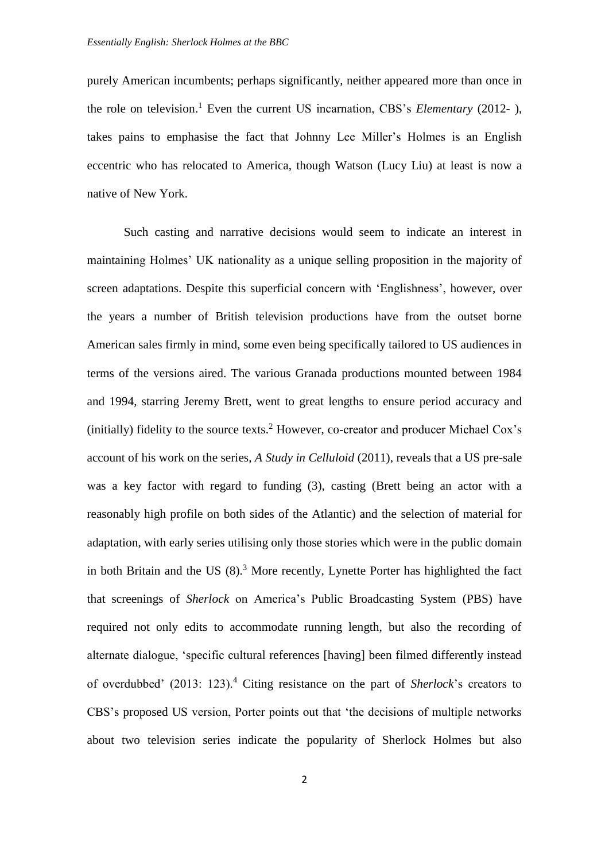purely American incumbents; perhaps significantly, neither appeared more than once in the role on television. <sup>1</sup> Even the current US incarnation, CBS's *Elementary* (2012- ), takes pains to emphasise the fact that Johnny Lee Miller's Holmes is an English eccentric who has relocated to America, though Watson (Lucy Liu) at least is now a native of New York.

Such casting and narrative decisions would seem to indicate an interest in maintaining Holmes' UK nationality as a unique selling proposition in the majority of screen adaptations. Despite this superficial concern with 'Englishness', however, over the years a number of British television productions have from the outset borne American sales firmly in mind, some even being specifically tailored to US audiences in terms of the versions aired. The various Granada productions mounted between 1984 and 1994, starring Jeremy Brett, went to great lengths to ensure period accuracy and (initially) fidelity to the source texts. <sup>2</sup> However, co-creator and producer Michael Cox's account of his work on the series, *A Study in Celluloid* (2011), reveals that a US pre-sale was a key factor with regard to funding (3), casting (Brett being an actor with a reasonably high profile on both sides of the Atlantic) and the selection of material for adaptation, with early series utilising only those stories which were in the public domain in both Britain and the US  $(8)$ .<sup>3</sup> More recently, Lynette Porter has highlighted the fact that screenings of *Sherlock* on America's Public Broadcasting System (PBS) have required not only edits to accommodate running length, but also the recording of alternate dialogue, 'specific cultural references [having] been filmed differently instead of overdubbed' (2013: 123).<sup>4</sup> Citing resistance on the part of *Sherlock*'s creators to CBS's proposed US version, Porter points out that 'the decisions of multiple networks about two television series indicate the popularity of Sherlock Holmes but also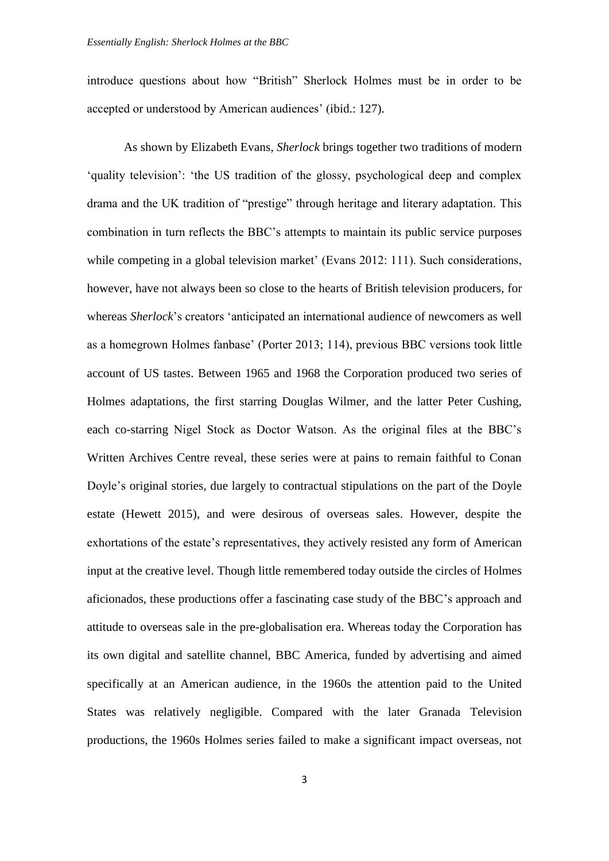introduce questions about how "British" Sherlock Holmes must be in order to be accepted or understood by American audiences' (ibid.: 127).

As shown by Elizabeth Evans, *Sherlock* brings together two traditions of modern 'quality television': 'the US tradition of the glossy, psychological deep and complex drama and the UK tradition of "prestige" through heritage and literary adaptation. This combination in turn reflects the BBC's attempts to maintain its public service purposes while competing in a global television market' (Evans 2012: 111). Such considerations, however, have not always been so close to the hearts of British television producers, for whereas *Sherlock*'s creators 'anticipated an international audience of newcomers as well as a homegrown Holmes fanbase' (Porter 2013; 114), previous BBC versions took little account of US tastes. Between 1965 and 1968 the Corporation produced two series of Holmes adaptations, the first starring Douglas Wilmer, and the latter Peter Cushing, each co-starring Nigel Stock as Doctor Watson. As the original files at the BBC's Written Archives Centre reveal, these series were at pains to remain faithful to Conan Doyle's original stories, due largely to contractual stipulations on the part of the Doyle estate (Hewett 2015), and were desirous of overseas sales. However, despite the exhortations of the estate's representatives, they actively resisted any form of American input at the creative level. Though little remembered today outside the circles of Holmes aficionados, these productions offer a fascinating case study of the BBC's approach and attitude to overseas sale in the pre-globalisation era. Whereas today the Corporation has its own digital and satellite channel, BBC America, funded by advertising and aimed specifically at an American audience, in the 1960s the attention paid to the United States was relatively negligible. Compared with the later Granada Television productions, the 1960s Holmes series failed to make a significant impact overseas, not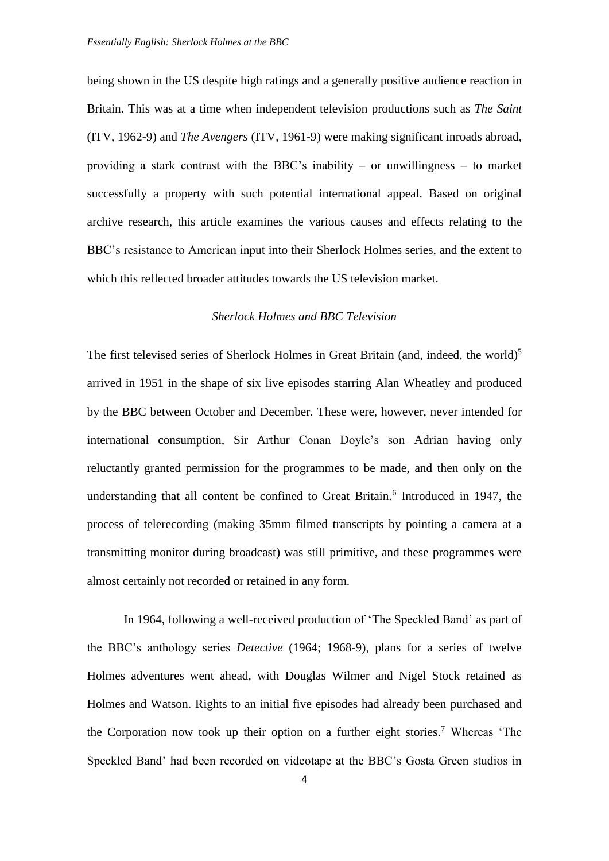being shown in the US despite high ratings and a generally positive audience reaction in Britain. This was at a time when independent television productions such as *The Saint* (ITV, 1962-9) and *The Avengers* (ITV, 1961-9) were making significant inroads abroad, providing a stark contrast with the BBC's inability – or unwillingness – to market successfully a property with such potential international appeal. Based on original archive research, this article examines the various causes and effects relating to the BBC's resistance to American input into their Sherlock Holmes series, and the extent to which this reflected broader attitudes towards the US television market.

#### *Sherlock Holmes and BBC Television*

The first televised series of Sherlock Holmes in Great Britain (and, indeed, the world)<sup>5</sup> arrived in 1951 in the shape of six live episodes starring Alan Wheatley and produced by the BBC between October and December. These were, however, never intended for international consumption, Sir Arthur Conan Doyle's son Adrian having only reluctantly granted permission for the programmes to be made, and then only on the understanding that all content be confined to Great Britain.<sup>6</sup> Introduced in 1947, the process of telerecording (making 35mm filmed transcripts by pointing a camera at a transmitting monitor during broadcast) was still primitive, and these programmes were almost certainly not recorded or retained in any form.

In 1964, following a well-received production of 'The Speckled Band' as part of the BBC's anthology series *Detective* (1964; 1968-9), plans for a series of twelve Holmes adventures went ahead, with Douglas Wilmer and Nigel Stock retained as Holmes and Watson. Rights to an initial five episodes had already been purchased and the Corporation now took up their option on a further eight stories. <sup>7</sup> Whereas 'The Speckled Band' had been recorded on videotape at the BBC's Gosta Green studios in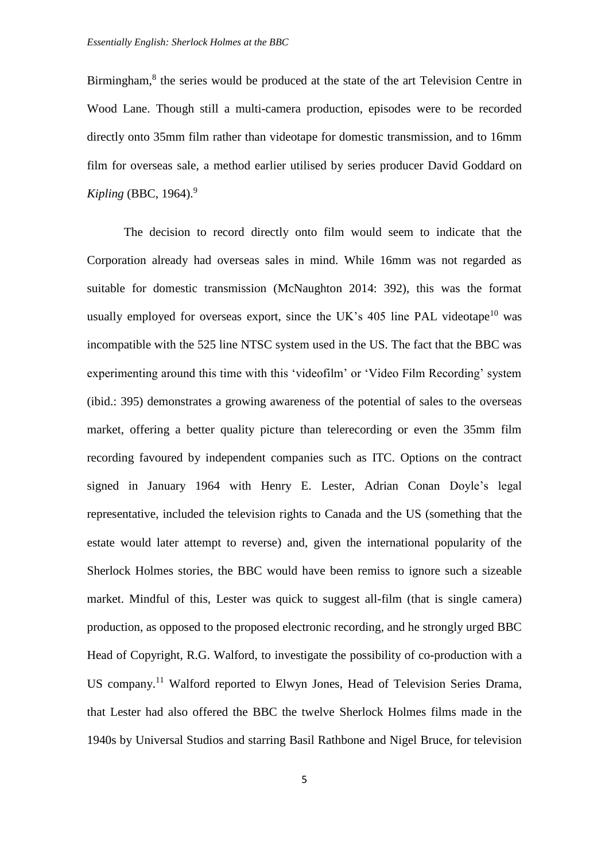Birmingham,<sup>8</sup> the series would be produced at the state of the art Television Centre in Wood Lane. Though still a multi-camera production, episodes were to be recorded directly onto 35mm film rather than videotape for domestic transmission, and to 16mm film for overseas sale, a method earlier utilised by series producer David Goddard on *Kipling* (BBC, 1964).<sup>9</sup>

The decision to record directly onto film would seem to indicate that the Corporation already had overseas sales in mind. While 16mm was not regarded as suitable for domestic transmission (McNaughton 2014: 392), this was the format usually employed for overseas export, since the UK's  $405$  line PAL videotape<sup>10</sup> was incompatible with the 525 line NTSC system used in the US. The fact that the BBC was experimenting around this time with this 'videofilm' or 'Video Film Recording' system (ibid.: 395) demonstrates a growing awareness of the potential of sales to the overseas market, offering a better quality picture than telerecording or even the 35mm film recording favoured by independent companies such as ITC. Options on the contract signed in January 1964 with Henry E. Lester, Adrian Conan Doyle's legal representative, included the television rights to Canada and the US (something that the estate would later attempt to reverse) and, given the international popularity of the Sherlock Holmes stories, the BBC would have been remiss to ignore such a sizeable market. Mindful of this, Lester was quick to suggest all-film (that is single camera) production, as opposed to the proposed electronic recording, and he strongly urged BBC Head of Copyright, R.G. Walford, to investigate the possibility of co-production with a US company.<sup>11</sup> Walford reported to Elwyn Jones, Head of Television Series Drama, that Lester had also offered the BBC the twelve Sherlock Holmes films made in the 1940s by Universal Studios and starring Basil Rathbone and Nigel Bruce, for television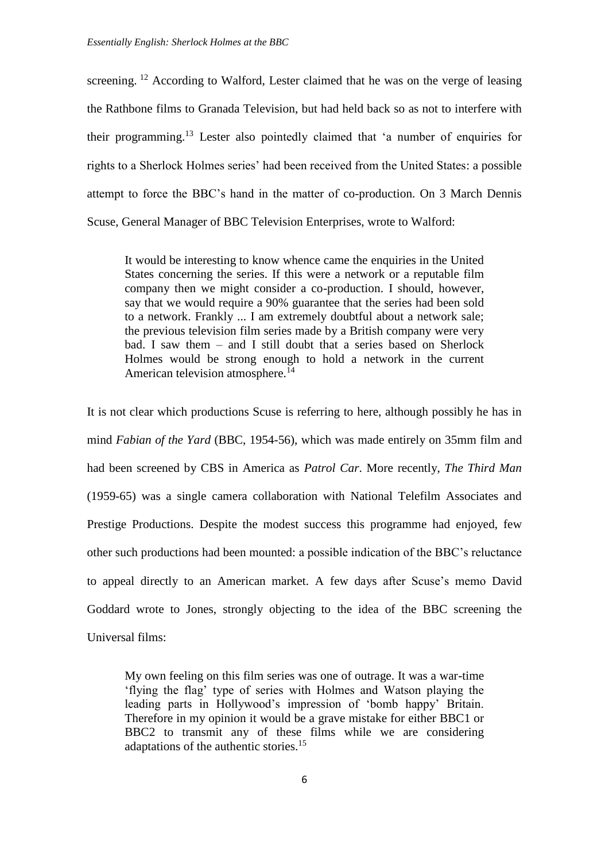screening.<sup>12</sup> According to Walford, Lester claimed that he was on the verge of leasing the Rathbone films to Granada Television, but had held back so as not to interfere with their programming.<sup>13</sup> Lester also pointedly claimed that 'a number of enquiries for rights to a Sherlock Holmes series' had been received from the United States: a possible attempt to force the BBC's hand in the matter of co-production. On 3 March Dennis Scuse, General Manager of BBC Television Enterprises, wrote to Walford:

It would be interesting to know whence came the enquiries in the United States concerning the series. If this were a network or a reputable film company then we might consider a co-production. I should, however, say that we would require a 90% guarantee that the series had been sold to a network. Frankly ... I am extremely doubtful about a network sale; the previous television film series made by a British company were very bad. I saw them – and I still doubt that a series based on Sherlock Holmes would be strong enough to hold a network in the current American television atmosphere.<sup>14</sup>

It is not clear which productions Scuse is referring to here, although possibly he has in mind *Fabian of the Yard* (BBC, 1954-56), which was made entirely on 35mm film and had been screened by CBS in America as *Patrol Car*. More recently, *The Third Man* (1959-65) was a single camera collaboration with National Telefilm Associates and Prestige Productions. Despite the modest success this programme had enjoyed, few other such productions had been mounted: a possible indication of the BBC's reluctance to appeal directly to an American market. A few days after Scuse's memo David Goddard wrote to Jones, strongly objecting to the idea of the BBC screening the Universal films:

My own feeling on this film series was one of outrage. It was a war-time 'flying the flag' type of series with Holmes and Watson playing the leading parts in Hollywood's impression of 'bomb happy' Britain. Therefore in my opinion it would be a grave mistake for either BBC1 or BBC2 to transmit any of these films while we are considering adaptations of the authentic stories.<sup>15</sup>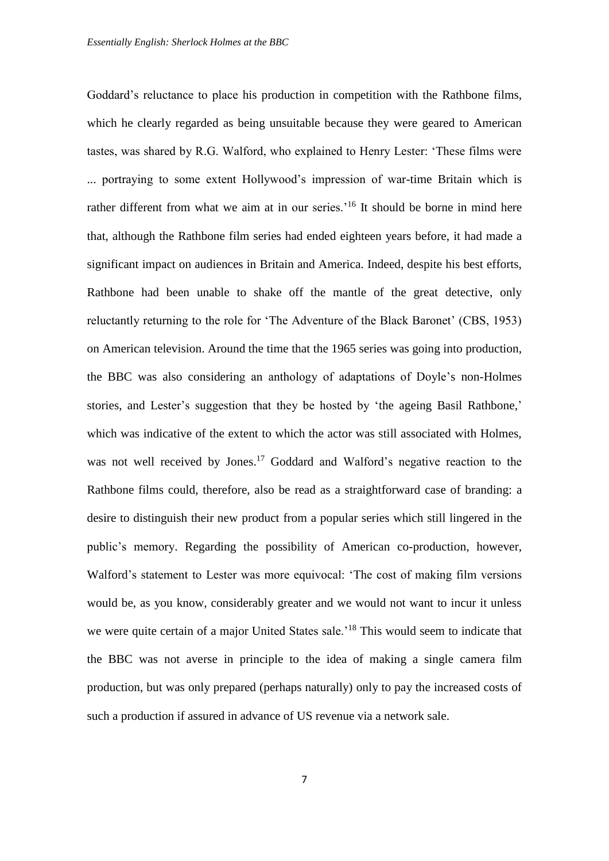Goddard's reluctance to place his production in competition with the Rathbone films, which he clearly regarded as being unsuitable because they were geared to American tastes, was shared by R.G. Walford, who explained to Henry Lester: 'These films were ... portraying to some extent Hollywood's impression of war-time Britain which is rather different from what we aim at in our series.<sup>16</sup> It should be borne in mind here that, although the Rathbone film series had ended eighteen years before, it had made a significant impact on audiences in Britain and America. Indeed, despite his best efforts, Rathbone had been unable to shake off the mantle of the great detective, only reluctantly returning to the role for 'The Adventure of the Black Baronet' (CBS, 1953) on American television. Around the time that the 1965 series was going into production, the BBC was also considering an anthology of adaptations of Doyle's non-Holmes stories, and Lester's suggestion that they be hosted by 'the ageing Basil Rathbone,' which was indicative of the extent to which the actor was still associated with Holmes, was not well received by Jones. <sup>17</sup> Goddard and Walford's negative reaction to the Rathbone films could, therefore, also be read as a straightforward case of branding: a desire to distinguish their new product from a popular series which still lingered in the public's memory. Regarding the possibility of American co-production, however, Walford's statement to Lester was more equivocal: 'The cost of making film versions would be, as you know, considerably greater and we would not want to incur it unless we were quite certain of a major United States sale.'<sup>18</sup> This would seem to indicate that the BBC was not averse in principle to the idea of making a single camera film production, but was only prepared (perhaps naturally) only to pay the increased costs of such a production if assured in advance of US revenue via a network sale.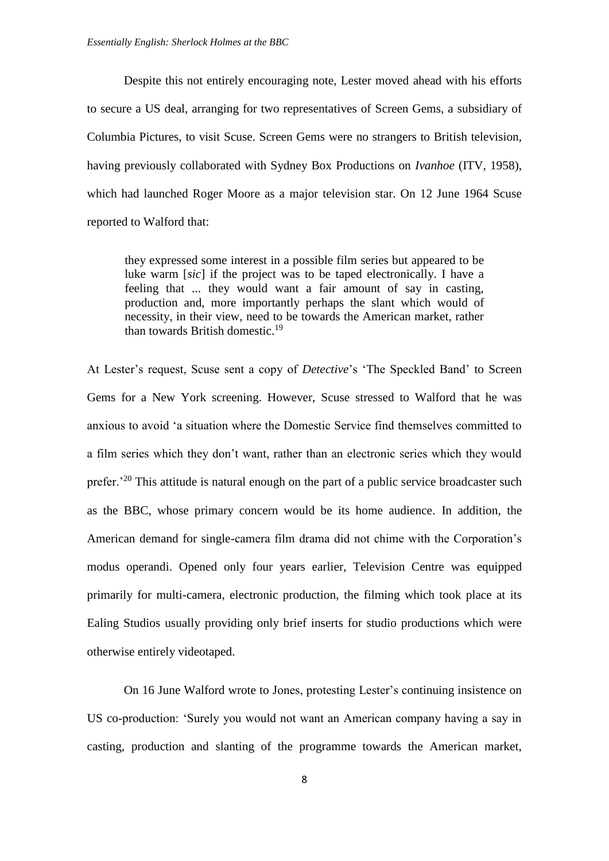Despite this not entirely encouraging note, Lester moved ahead with his efforts to secure a US deal, arranging for two representatives of Screen Gems, a subsidiary of Columbia Pictures, to visit Scuse. Screen Gems were no strangers to British television, having previously collaborated with Sydney Box Productions on *Ivanhoe* (ITV, 1958), which had launched Roger Moore as a major television star. On 12 June 1964 Scuse reported to Walford that:

they expressed some interest in a possible film series but appeared to be luke warm [*sic*] if the project was to be taped electronically. I have a feeling that ... they would want a fair amount of say in casting, production and, more importantly perhaps the slant which would of necessity, in their view, need to be towards the American market, rather than towards British domestic.<sup>19</sup>

At Lester's request, Scuse sent a copy of *Detective*'s 'The Speckled Band' to Screen Gems for a New York screening. However, Scuse stressed to Walford that he was anxious to avoid 'a situation where the Domestic Service find themselves committed to a film series which they don't want, rather than an electronic series which they would prefer.<sup>20</sup> This attitude is natural enough on the part of a public service broadcaster such as the BBC, whose primary concern would be its home audience. In addition, the American demand for single-camera film drama did not chime with the Corporation's modus operandi. Opened only four years earlier, Television Centre was equipped primarily for multi-camera, electronic production, the filming which took place at its Ealing Studios usually providing only brief inserts for studio productions which were otherwise entirely videotaped.

On 16 June Walford wrote to Jones, protesting Lester's continuing insistence on US co-production: 'Surely you would not want an American company having a say in casting, production and slanting of the programme towards the American market,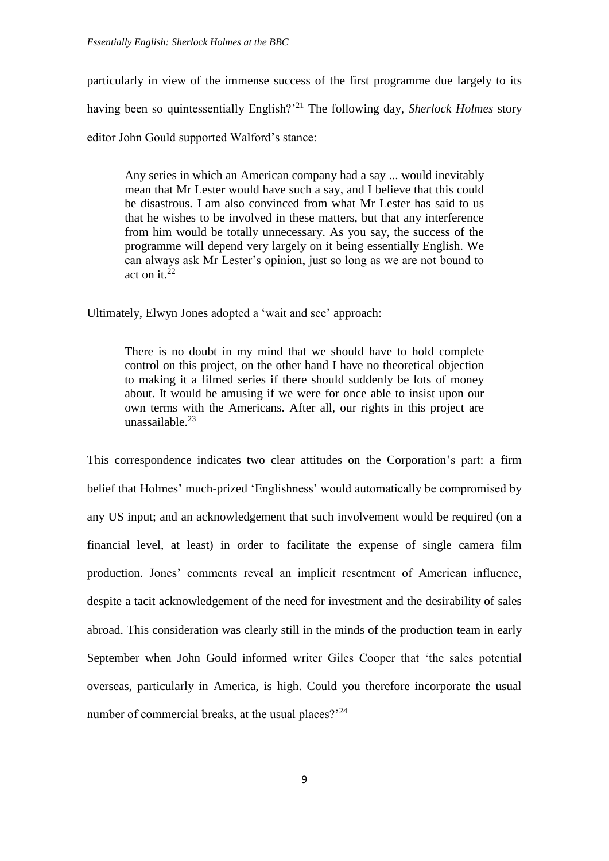particularly in view of the immense success of the first programme due largely to its having been so quintessentially English?'<sup>21</sup> The following day, *Sherlock Holmes* story editor John Gould supported Walford's stance:

Any series in which an American company had a say ... would inevitably mean that Mr Lester would have such a say, and I believe that this could be disastrous. I am also convinced from what Mr Lester has said to us that he wishes to be involved in these matters, but that any interference from him would be totally unnecessary. As you say, the success of the programme will depend very largely on it being essentially English. We can always ask Mr Lester's opinion, just so long as we are not bound to act on it. $22$ 

Ultimately, Elwyn Jones adopted a 'wait and see' approach:

There is no doubt in my mind that we should have to hold complete control on this project, on the other hand I have no theoretical objection to making it a filmed series if there should suddenly be lots of money about. It would be amusing if we were for once able to insist upon our own terms with the Americans. After all, our rights in this project are unassailable. $^{23}$ 

This correspondence indicates two clear attitudes on the Corporation's part: a firm belief that Holmes' much-prized 'Englishness' would automatically be compromised by any US input; and an acknowledgement that such involvement would be required (on a financial level, at least) in order to facilitate the expense of single camera film production. Jones' comments reveal an implicit resentment of American influence, despite a tacit acknowledgement of the need for investment and the desirability of sales abroad. This consideration was clearly still in the minds of the production team in early September when John Gould informed writer Giles Cooper that 'the sales potential overseas, particularly in America, is high. Could you therefore incorporate the usual number of commercial breaks, at the usual places?<sup>'24</sup>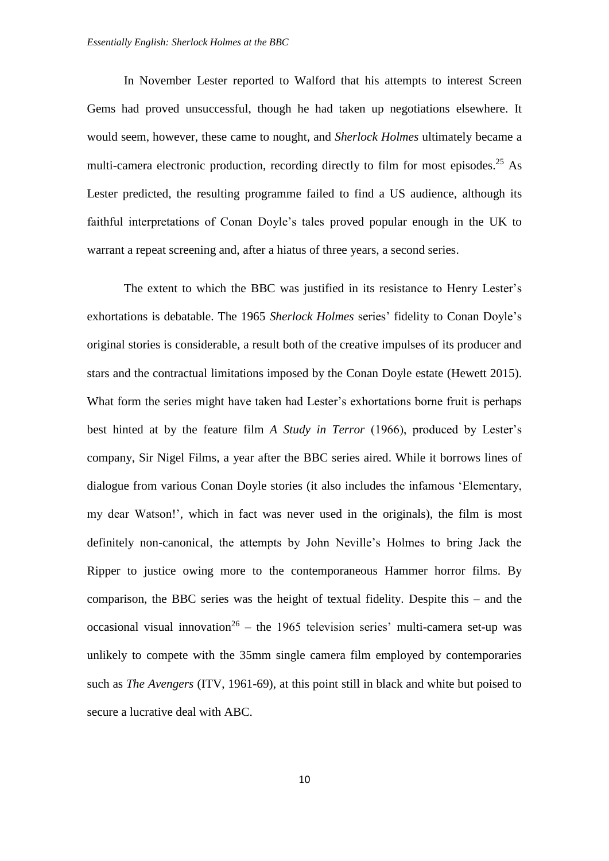In November Lester reported to Walford that his attempts to interest Screen Gems had proved unsuccessful, though he had taken up negotiations elsewhere. It would seem, however, these came to nought, and *Sherlock Holmes* ultimately became a multi-camera electronic production, recording directly to film for most episodes.<sup>25</sup> As Lester predicted, the resulting programme failed to find a US audience, although its faithful interpretations of Conan Doyle's tales proved popular enough in the UK to warrant a repeat screening and, after a hiatus of three years, a second series.

The extent to which the BBC was justified in its resistance to Henry Lester's exhortations is debatable. The 1965 *Sherlock Holmes* series' fidelity to Conan Doyle's original stories is considerable, a result both of the creative impulses of its producer and stars and the contractual limitations imposed by the Conan Doyle estate (Hewett 2015). What form the series might have taken had Lester's exhortations borne fruit is perhaps best hinted at by the feature film *A Study in Terror* (1966), produced by Lester's company, Sir Nigel Films, a year after the BBC series aired. While it borrows lines of dialogue from various Conan Doyle stories (it also includes the infamous 'Elementary, my dear Watson!', which in fact was never used in the originals), the film is most definitely non-canonical, the attempts by John Neville's Holmes to bring Jack the Ripper to justice owing more to the contemporaneous Hammer horror films. By comparison, the BBC series was the height of textual fidelity. Despite this – and the occasional visual innovation<sup>26</sup> – the 1965 television series' multi-camera set-up was unlikely to compete with the 35mm single camera film employed by contemporaries such as *The Avengers* (ITV, 1961-69), at this point still in black and white but poised to secure a lucrative deal with ABC.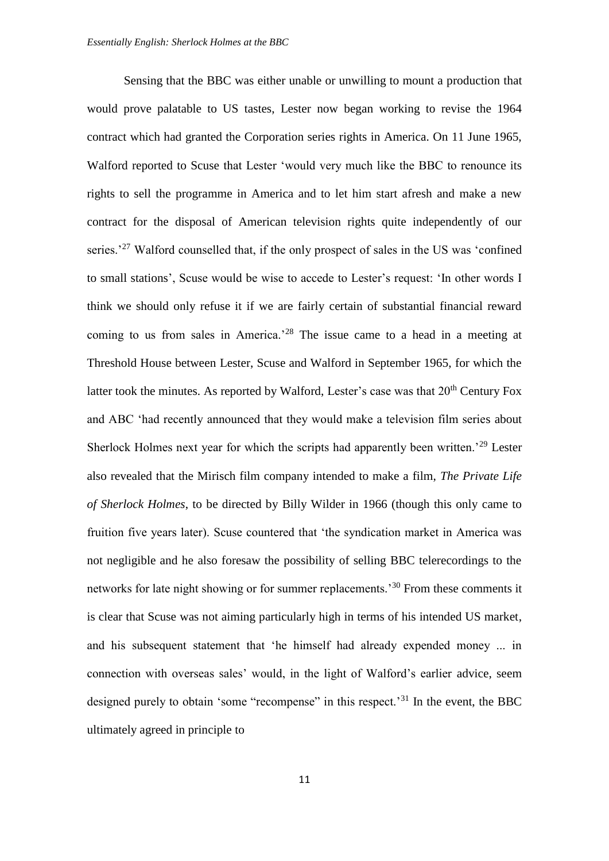Sensing that the BBC was either unable or unwilling to mount a production that would prove palatable to US tastes, Lester now began working to revise the 1964 contract which had granted the Corporation series rights in America. On 11 June 1965, Walford reported to Scuse that Lester 'would very much like the BBC to renounce its rights to sell the programme in America and to let him start afresh and make a new contract for the disposal of American television rights quite independently of our series.<sup>27</sup> Walford counselled that, if the only prospect of sales in the US was 'confined to small stations', Scuse would be wise to accede to Lester's request: 'In other words I think we should only refuse it if we are fairly certain of substantial financial reward coming to us from sales in America.<sup>28</sup> The issue came to a head in a meeting at Threshold House between Lester, Scuse and Walford in September 1965, for which the latter took the minutes. As reported by Walford, Lester's case was that  $20<sup>th</sup>$  Century Fox and ABC 'had recently announced that they would make a television film series about Sherlock Holmes next year for which the scripts had apparently been written.<sup>'29</sup> Lester also revealed that the Mirisch film company intended to make a film, *The Private Life of Sherlock Holmes*, to be directed by Billy Wilder in 1966 (though this only came to fruition five years later). Scuse countered that 'the syndication market in America was not negligible and he also foresaw the possibility of selling BBC telerecordings to the networks for late night showing or for summer replacements.'<sup>30</sup> From these comments it is clear that Scuse was not aiming particularly high in terms of his intended US market, and his subsequent statement that 'he himself had already expended money ... in connection with overseas sales' would, in the light of Walford's earlier advice, seem designed purely to obtain 'some "recompense" in this respect.<sup>31</sup> In the event, the BBC ultimately agreed in principle to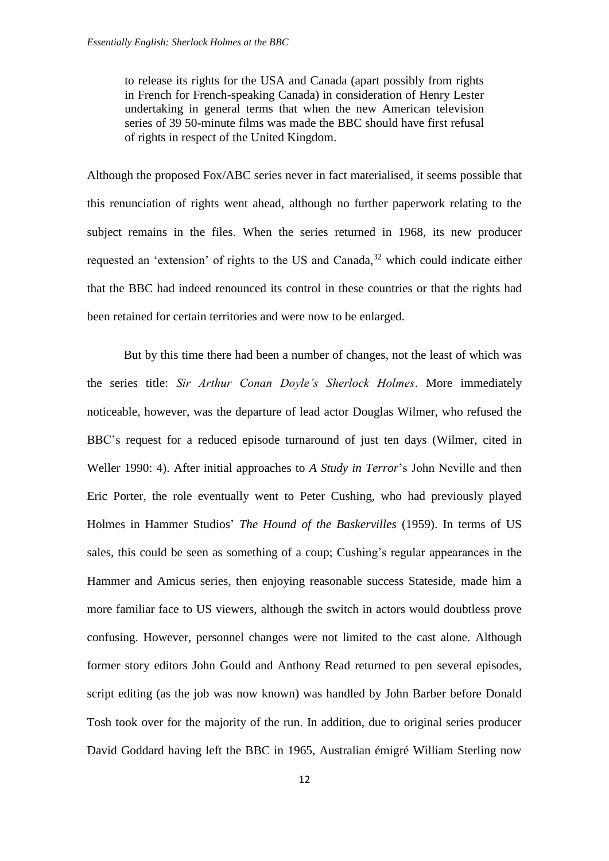to release its rights for the USA and Canada (apart possibly from rights in French for French-speaking Canada) in consideration of Henry Lester undertaking in general terms that when the new American television series of 39 50-minute films was made the BBC should have first refusal of rights in respect of the United Kingdom.

Although the proposed Fox/ABC series never in fact materialised, it seems possible that this renunciation of rights went ahead, although no further paperwork relating to the subject remains in the files. When the series returned in 1968, its new producer requested an 'extension' of rights to the US and Canada,<sup>32</sup> which could indicate either that the BBC had indeed renounced its control in these countries or that the rights had been retained for certain territories and were now to be enlarged.

But by this time there had been a number of changes, not the least of which was the series title: *Sir Arthur Conan Doyle's Sherlock Holmes*. More immediately noticeable, however, was the departure of lead actor Douglas Wilmer, who refused the BBC's request for a reduced episode turnaround of just ten days (Wilmer, cited in Weller 1990: 4). After initial approaches to *A Study in Terror*'s John Neville and then Eric Porter, the role eventually went to Peter Cushing, who had previously played Holmes in Hammer Studios' *The Hound of the Baskervilles* (1959). In terms of US sales, this could be seen as something of a coup; Cushing's regular appearances in the Hammer and Amicus series, then enjoying reasonable success Stateside, made him a more familiar face to US viewers, although the switch in actors would doubtless prove confusing. However, personnel changes were not limited to the cast alone. Although former story editors John Gould and Anthony Read returned to pen several episodes, script editing (as the job was now known) was handled by John Barber before Donald Tosh took over for the majority of the run. In addition, due to original series producer David Goddard having left the BBC in 1965, Australian émigré William Sterling now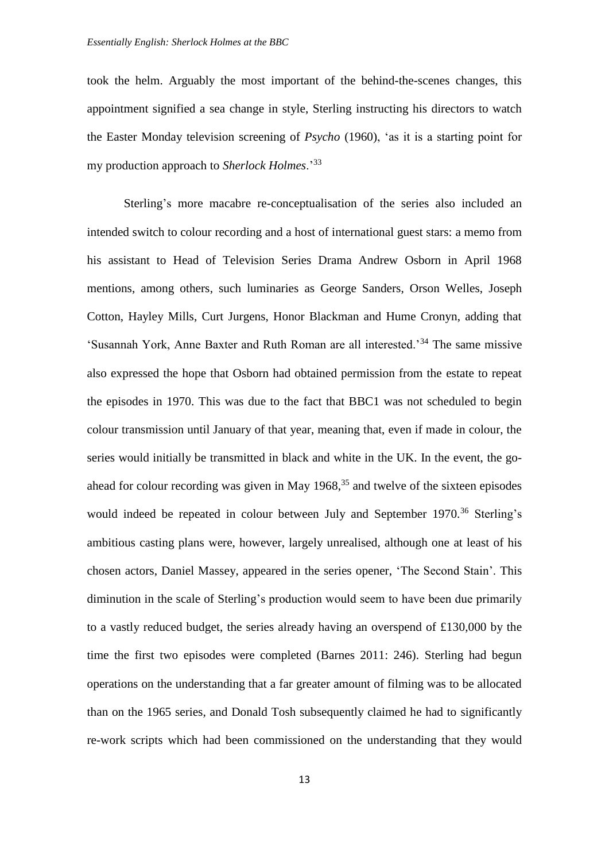took the helm. Arguably the most important of the behind-the-scenes changes, this appointment signified a sea change in style, Sterling instructing his directors to watch the Easter Monday television screening of *Psycho* (1960), 'as it is a starting point for my production approach to *Sherlock Holmes*.'<sup>33</sup>

Sterling's more macabre re-conceptualisation of the series also included an intended switch to colour recording and a host of international guest stars: a memo from his assistant to Head of Television Series Drama Andrew Osborn in April 1968 mentions, among others, such luminaries as George Sanders, Orson Welles, Joseph Cotton, Hayley Mills, Curt Jurgens, Honor Blackman and Hume Cronyn, adding that 'Susannah York, Anne Baxter and Ruth Roman are all interested.'<sup>34</sup> The same missive also expressed the hope that Osborn had obtained permission from the estate to repeat the episodes in 1970. This was due to the fact that BBC1 was not scheduled to begin colour transmission until January of that year, meaning that, even if made in colour, the series would initially be transmitted in black and white in the UK. In the event, the goahead for colour recording was given in May 1968, <sup>35</sup> and twelve of the sixteen episodes would indeed be repeated in colour between July and September 1970.<sup>36</sup> Sterling's ambitious casting plans were, however, largely unrealised, although one at least of his chosen actors, Daniel Massey, appeared in the series opener, 'The Second Stain'. This diminution in the scale of Sterling's production would seem to have been due primarily to a vastly reduced budget, the series already having an overspend of £130,000 by the time the first two episodes were completed (Barnes 2011: 246). Sterling had begun operations on the understanding that a far greater amount of filming was to be allocated than on the 1965 series, and Donald Tosh subsequently claimed he had to significantly re-work scripts which had been commissioned on the understanding that they would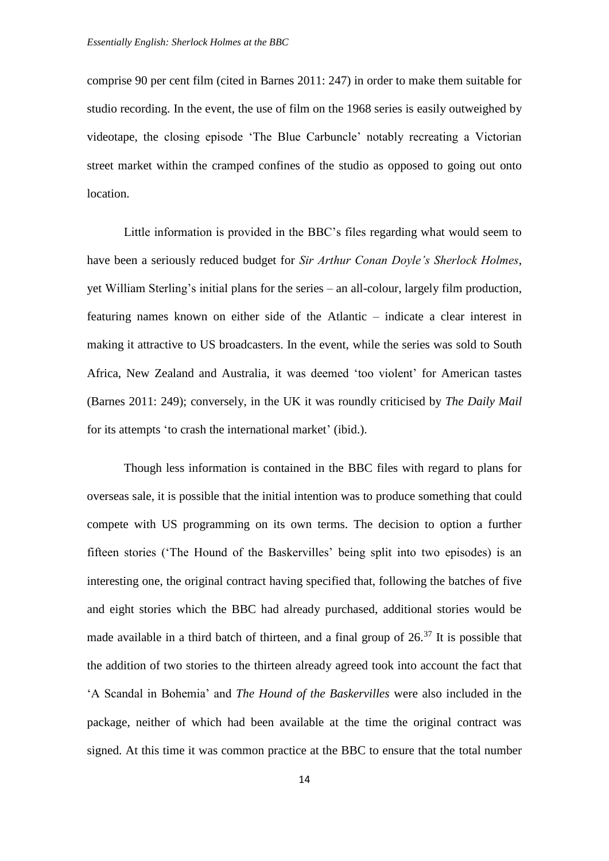comprise 90 per cent film (cited in Barnes 2011: 247) in order to make them suitable for studio recording. In the event, the use of film on the 1968 series is easily outweighed by videotape, the closing episode 'The Blue Carbuncle' notably recreating a Victorian street market within the cramped confines of the studio as opposed to going out onto location.

Little information is provided in the BBC's files regarding what would seem to have been a seriously reduced budget for *Sir Arthur Conan Doyle's Sherlock Holmes*, yet William Sterling's initial plans for the series – an all-colour, largely film production, featuring names known on either side of the Atlantic – indicate a clear interest in making it attractive to US broadcasters. In the event, while the series was sold to South Africa, New Zealand and Australia, it was deemed 'too violent' for American tastes (Barnes 2011: 249); conversely, in the UK it was roundly criticised by *The Daily Mail* for its attempts 'to crash the international market' (ibid.).

Though less information is contained in the BBC files with regard to plans for overseas sale, it is possible that the initial intention was to produce something that could compete with US programming on its own terms. The decision to option a further fifteen stories ('The Hound of the Baskervilles' being split into two episodes) is an interesting one, the original contract having specified that, following the batches of five and eight stories which the BBC had already purchased, additional stories would be made available in a third batch of thirteen, and a final group of  $26<sup>37</sup>$  It is possible that the addition of two stories to the thirteen already agreed took into account the fact that 'A Scandal in Bohemia' and *The Hound of the Baskervilles* were also included in the package, neither of which had been available at the time the original contract was signed. At this time it was common practice at the BBC to ensure that the total number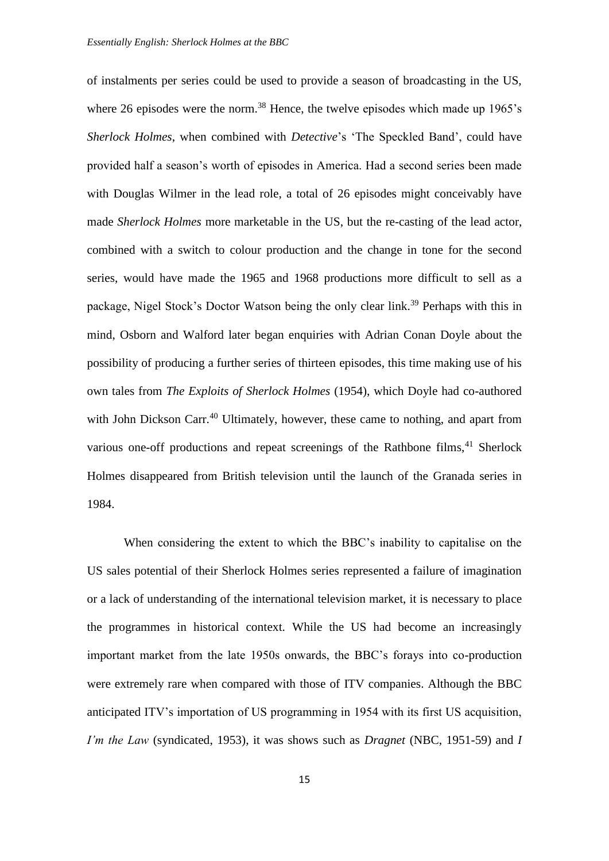of instalments per series could be used to provide a season of broadcasting in the US, where 26 episodes were the norm.<sup>38</sup> Hence, the twelve episodes which made up 1965's *Sherlock Holmes*, when combined with *Detective*'s 'The Speckled Band', could have provided half a season's worth of episodes in America. Had a second series been made with Douglas Wilmer in the lead role, a total of 26 episodes might conceivably have made *Sherlock Holmes* more marketable in the US, but the re-casting of the lead actor, combined with a switch to colour production and the change in tone for the second series, would have made the 1965 and 1968 productions more difficult to sell as a package, Nigel Stock's Doctor Watson being the only clear link.<sup>39</sup> Perhaps with this in mind, Osborn and Walford later began enquiries with Adrian Conan Doyle about the possibility of producing a further series of thirteen episodes, this time making use of his own tales from *The Exploits of Sherlock Holmes* (1954), which Doyle had co-authored with John Dickson Carr.<sup>40</sup> Ultimately, however, these came to nothing, and apart from various one-off productions and repeat screenings of the Rathbone films,  $41$  Sherlock Holmes disappeared from British television until the launch of the Granada series in 1984.

When considering the extent to which the BBC's inability to capitalise on the US sales potential of their Sherlock Holmes series represented a failure of imagination or a lack of understanding of the international television market, it is necessary to place the programmes in historical context. While the US had become an increasingly important market from the late 1950s onwards, the BBC's forays into co-production were extremely rare when compared with those of ITV companies. Although the BBC anticipated ITV's importation of US programming in 1954 with its first US acquisition, *I'm the Law* (syndicated, 1953), it was shows such as *Dragnet* (NBC, 1951-59) and *I*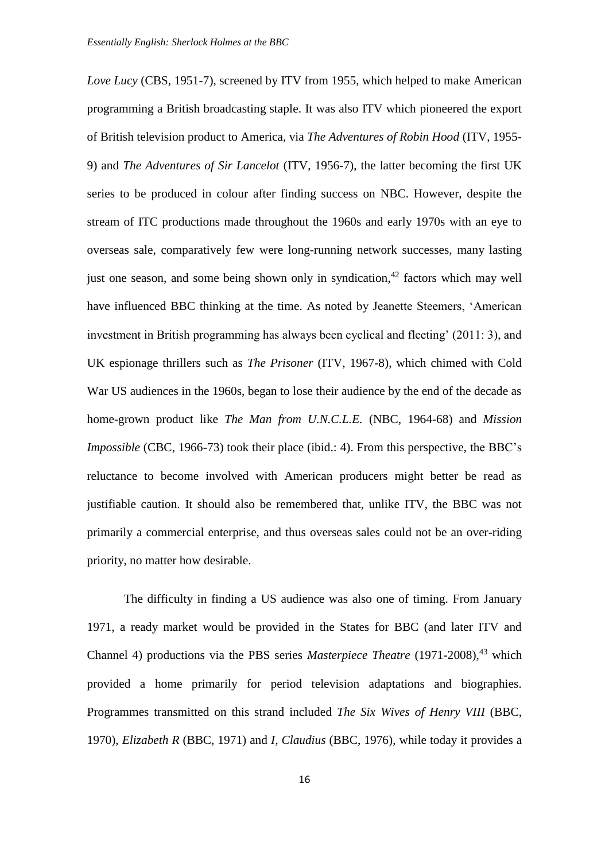*Love Lucy* (CBS, 1951-7), screened by ITV from 1955, which helped to make American programming a British broadcasting staple. It was also ITV which pioneered the export of British television product to America, via *The Adventures of Robin Hood* (ITV, 1955- 9) and *The Adventures of Sir Lancelot* (ITV, 1956-7), the latter becoming the first UK series to be produced in colour after finding success on NBC. However, despite the stream of ITC productions made throughout the 1960s and early 1970s with an eye to overseas sale, comparatively few were long-running network successes, many lasting just one season, and some being shown only in syndication,<sup>42</sup> factors which may well have influenced BBC thinking at the time. As noted by Jeanette Steemers, 'American investment in British programming has always been cyclical and fleeting' (2011: 3), and UK espionage thrillers such as *The Prisoner* (ITV, 1967-8), which chimed with Cold War US audiences in the 1960s, began to lose their audience by the end of the decade as home-grown product like *The Man from U.N.C.L.E.* (NBC, 1964-68) and *Mission Impossible* (CBC, 1966-73) took their place (ibid.: 4). From this perspective, the BBC's reluctance to become involved with American producers might better be read as justifiable caution. It should also be remembered that, unlike ITV, the BBC was not primarily a commercial enterprise, and thus overseas sales could not be an over-riding priority, no matter how desirable.

The difficulty in finding a US audience was also one of timing. From January 1971, a ready market would be provided in the States for BBC (and later ITV and Channel 4) productions via the PBS series *Masterpiece Theatre* (1971-2008), <sup>43</sup> which provided a home primarily for period television adaptations and biographies. Programmes transmitted on this strand included *The Six Wives of Henry VIII* (BBC, 1970), *Elizabeth R* (BBC, 1971) and *I, Claudius* (BBC, 1976), while today it provides a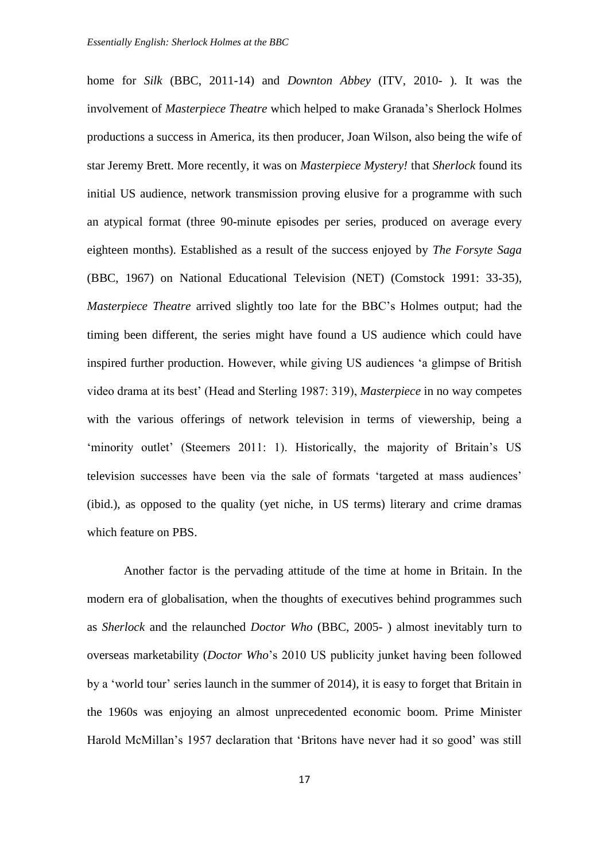home for *Silk* (BBC, 2011-14) and *Downton Abbey* (ITV, 2010- ). It was the involvement of *Masterpiece Theatre* which helped to make Granada's Sherlock Holmes productions a success in America, its then producer, Joan Wilson, also being the wife of star Jeremy Brett. More recently, it was on *Masterpiece Mystery!* that *Sherlock* found its initial US audience, network transmission proving elusive for a programme with such an atypical format (three 90-minute episodes per series, produced on average every eighteen months). Established as a result of the success enjoyed by *The Forsyte Saga* (BBC, 1967) on National Educational Television (NET) (Comstock 1991: 33-35), *Masterpiece Theatre* arrived slightly too late for the BBC's Holmes output; had the timing been different, the series might have found a US audience which could have inspired further production. However, while giving US audiences 'a glimpse of British video drama at its best' (Head and Sterling 1987: 319), *Masterpiece* in no way competes with the various offerings of network television in terms of viewership, being a 'minority outlet' (Steemers 2011: 1). Historically, the majority of Britain's US television successes have been via the sale of formats 'targeted at mass audiences' (ibid.), as opposed to the quality (yet niche, in US terms) literary and crime dramas which feature on PBS.

Another factor is the pervading attitude of the time at home in Britain. In the modern era of globalisation, when the thoughts of executives behind programmes such as *Sherlock* and the relaunched *Doctor Who* (BBC, 2005- ) almost inevitably turn to overseas marketability (*Doctor Who*'s 2010 US publicity junket having been followed by a 'world tour' series launch in the summer of 2014), it is easy to forget that Britain in the 1960s was enjoying an almost unprecedented economic boom. Prime Minister Harold McMillan's 1957 declaration that 'Britons have never had it so good' was still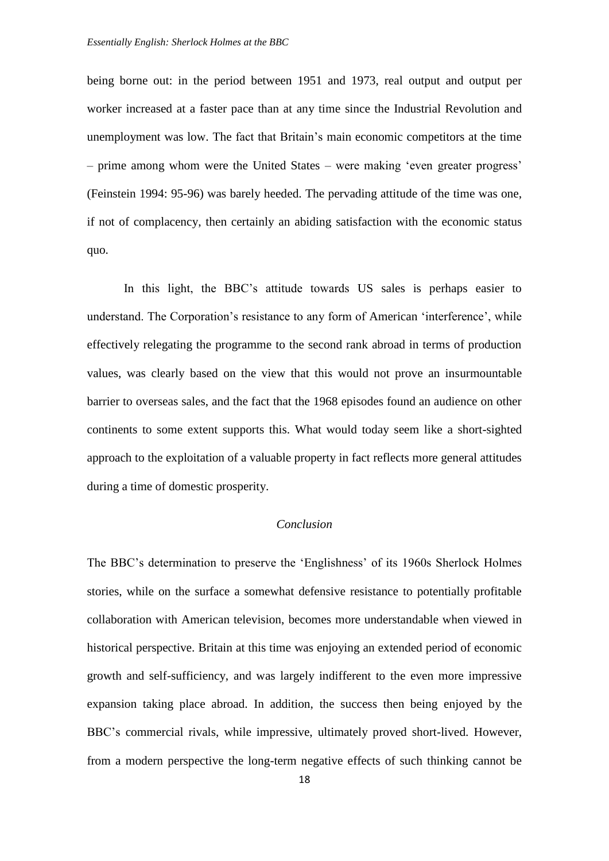being borne out: in the period between 1951 and 1973, real output and output per worker increased at a faster pace than at any time since the Industrial Revolution and unemployment was low. The fact that Britain's main economic competitors at the time – prime among whom were the United States – were making 'even greater progress' (Feinstein 1994: 95-96) was barely heeded. The pervading attitude of the time was one, if not of complacency, then certainly an abiding satisfaction with the economic status quo.

In this light, the BBC's attitude towards US sales is perhaps easier to understand. The Corporation's resistance to any form of American 'interference', while effectively relegating the programme to the second rank abroad in terms of production values, was clearly based on the view that this would not prove an insurmountable barrier to overseas sales, and the fact that the 1968 episodes found an audience on other continents to some extent supports this. What would today seem like a short-sighted approach to the exploitation of a valuable property in fact reflects more general attitudes during a time of domestic prosperity.

#### *Conclusion*

The BBC's determination to preserve the 'Englishness' of its 1960s Sherlock Holmes stories, while on the surface a somewhat defensive resistance to potentially profitable collaboration with American television, becomes more understandable when viewed in historical perspective. Britain at this time was enjoying an extended period of economic growth and self-sufficiency, and was largely indifferent to the even more impressive expansion taking place abroad. In addition, the success then being enjoyed by the BBC's commercial rivals, while impressive, ultimately proved short-lived. However, from a modern perspective the long-term negative effects of such thinking cannot be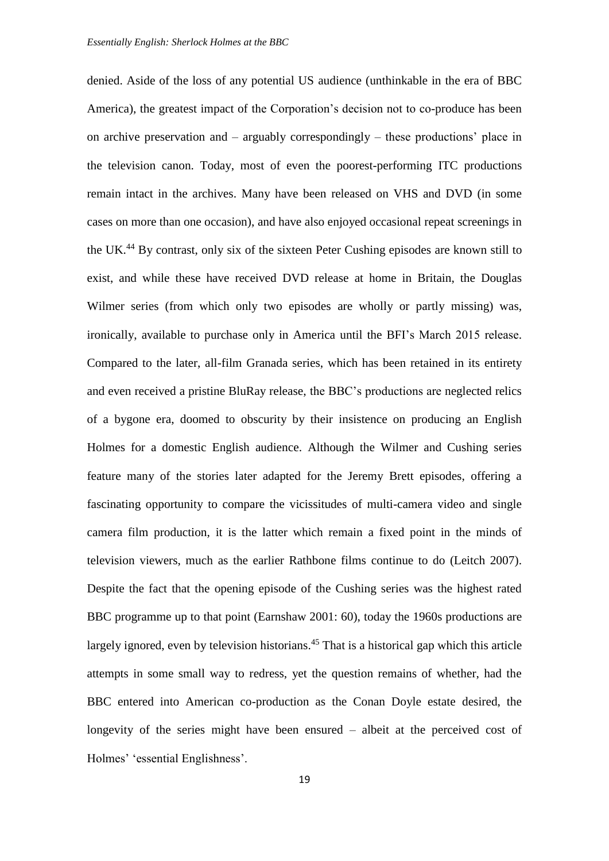denied. Aside of the loss of any potential US audience (unthinkable in the era of BBC America), the greatest impact of the Corporation's decision not to co-produce has been on archive preservation and – arguably correspondingly – these productions' place in the television canon. Today, most of even the poorest-performing ITC productions remain intact in the archives. Many have been released on VHS and DVD (in some cases on more than one occasion), and have also enjoyed occasional repeat screenings in the UK.<sup>44</sup> By contrast, only six of the sixteen Peter Cushing episodes are known still to exist, and while these have received DVD release at home in Britain, the Douglas Wilmer series (from which only two episodes are wholly or partly missing) was, ironically, available to purchase only in America until the BFI's March 2015 release. Compared to the later, all-film Granada series, which has been retained in its entirety and even received a pristine BluRay release, the BBC's productions are neglected relics of a bygone era, doomed to obscurity by their insistence on producing an English Holmes for a domestic English audience. Although the Wilmer and Cushing series feature many of the stories later adapted for the Jeremy Brett episodes, offering a fascinating opportunity to compare the vicissitudes of multi-camera video and single camera film production, it is the latter which remain a fixed point in the minds of television viewers, much as the earlier Rathbone films continue to do (Leitch 2007). Despite the fact that the opening episode of the Cushing series was the highest rated BBC programme up to that point (Earnshaw 2001: 60), today the 1960s productions are largely ignored, even by television historians.<sup>45</sup> That is a historical gap which this article attempts in some small way to redress, yet the question remains of whether, had the BBC entered into American co-production as the Conan Doyle estate desired, the longevity of the series might have been ensured – albeit at the perceived cost of Holmes' 'essential Englishness'.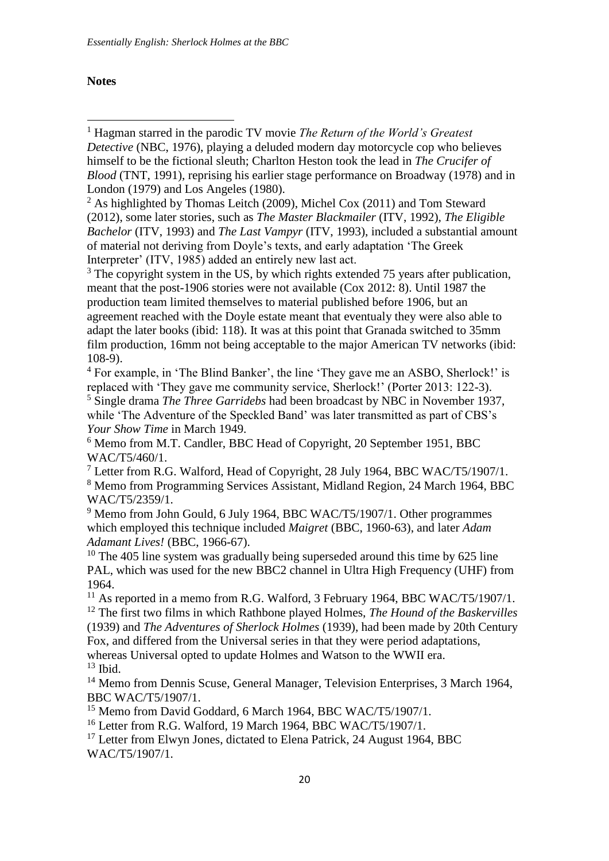## **Notes**

1

<sup>1</sup> Hagman starred in the parodic TV movie *The Return of the World's Greatest Detective* (NBC, 1976), playing a deluded modern day motorcycle cop who believes himself to be the fictional sleuth; Charlton Heston took the lead in *The Crucifer of Blood* (TNT, 1991), reprising his earlier stage performance on Broadway (1978) and in London (1979) and Los Angeles (1980).

<sup>2</sup> As highlighted by Thomas Leitch (2009), Michel Cox (2011) and Tom Steward (2012), some later stories, such as *The Master Blackmailer* (ITV, 1992), *The Eligible Bachelor* (ITV, 1993) and *The Last Vampyr* (ITV, 1993), included a substantial amount of material not deriving from Doyle's texts, and early adaptation 'The Greek Interpreter' (ITV, 1985) added an entirely new last act.

 $3$  The copyright system in the US, by which rights extended 75 years after publication, meant that the post-1906 stories were not available (Cox 2012: 8). Until 1987 the production team limited themselves to material published before 1906, but an agreement reached with the Doyle estate meant that eventualy they were also able to adapt the later books (ibid: 118). It was at this point that Granada switched to 35mm film production, 16mm not being acceptable to the major American TV networks (ibid: 108-9).

<sup>4</sup> For example, in 'The Blind Banker', the line 'They gave me an ASBO, Sherlock!' is replaced with 'They gave me community service, Sherlock!' (Porter 2013: 122-3).

<sup>5</sup> Single drama *The Three Garridebs* had been broadcast by NBC in November 1937, while 'The Adventure of the Speckled Band' was later transmitted as part of CBS's *Your Show Time* in March 1949.

<sup>6</sup> Memo from M.T. Candler, BBC Head of Copyright, 20 September 1951, BBC WAC/T5/460/1.

<sup>7</sup> Letter from R.G. Walford, Head of Copyright, 28 July 1964, BBC WAC/T5/1907/1. <sup>8</sup> Memo from Programming Services Assistant, Midland Region, 24 March 1964, BBC WAC/T5/2359/1.

<sup>9</sup> Memo from John Gould, 6 July 1964, BBC WAC/T5/1907/1. Other programmes which employed this technique included *Maigret* (BBC, 1960-63), and later *Adam Adamant Lives!* (BBC, 1966-67).

 $10$  The 405 line system was gradually being superseded around this time by 625 line PAL, which was used for the new BBC2 channel in Ultra High Frequency (UHF) from 1964.

 $11$  As reported in a memo from R.G. Walford, 3 February 1964, BBC WAC/T5/1907/1. <sup>12</sup> The first two films in which Rathbone played Holmes, *The Hound of the Baskervilles* (1939) and *The Adventures of Sherlock Holmes* (1939), had been made by 20th Century Fox, and differed from the Universal series in that they were period adaptations, whereas Universal opted to update Holmes and Watson to the WWII era.  $13$  Ibid.

<sup>14</sup> Memo from Dennis Scuse, General Manager, Television Enterprises, 3 March 1964, BBC WAC/T5/1907/1.

<sup>15</sup> Memo from David Goddard, 6 March 1964, BBC WAC/T5/1907/1.

<sup>16</sup> Letter from R.G. Walford, 19 March 1964, BBC WAC/T5/1907/1.

 $17$  Letter from Elwyn Jones, dictated to Elena Patrick, 24 August 1964, BBC WAC/T5/1907/1.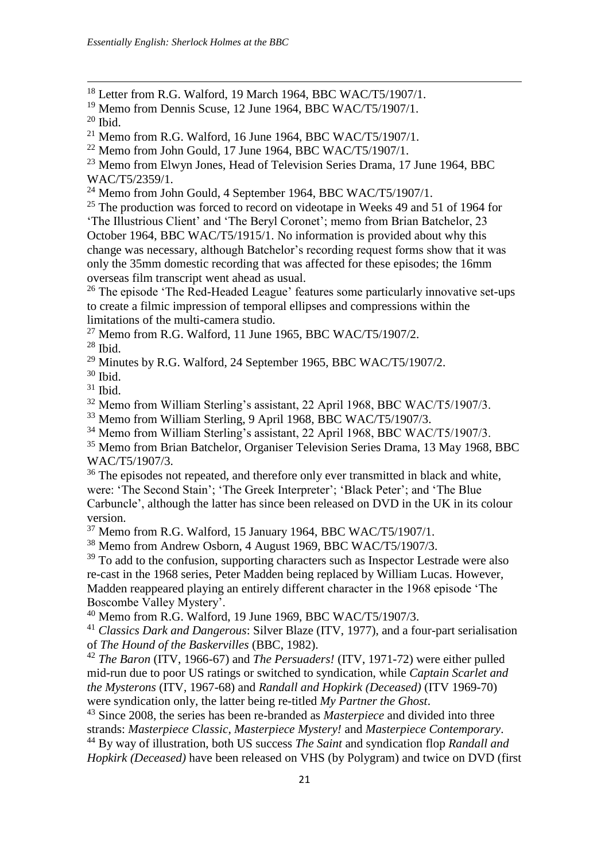<sup>18</sup> Letter from R.G. Walford, 19 March 1964, BBC WAC/T5/1907/1.

1

<sup>21</sup> Memo from R.G. Walford, 16 June 1964, BBC WAC/T5/1907/1.

<sup>23</sup> Memo from Elwyn Jones, Head of Television Series Drama, 17 June 1964, BBC WAC/T5/2359/1.

<sup>24</sup> Memo from John Gould, 4 September 1964, BBC WAC/T5/1907/1.

 $25$  The production was forced to record on videotape in Weeks 49 and 51 of 1964 for 'The Illustrious Client' and 'The Beryl Coronet'; memo from Brian Batchelor, 23 October 1964, BBC WAC/T5/1915/1. No information is provided about why this change was necessary, although Batchelor's recording request forms show that it was only the 35mm domestic recording that was affected for these episodes; the 16mm overseas film transcript went ahead as usual.

<sup>26</sup> The episode 'The Red-Headed League' features some particularly innovative set-ups to create a filmic impression of temporal ellipses and compressions within the limitations of the multi-camera studio.

<sup>27</sup> Memo from R.G. Walford, 11 June 1965, BBC WAC/T5/1907/2.

 $28$  Ibid.

 $29$  Minutes by R.G. Walford, 24 September 1965, BBC WAC/T5/1907/2.

<sup>30</sup> Ibid.

 $31$  Ibid.

<sup>32</sup> Memo from William Sterling's assistant, 22 April 1968, BBC WAC/T5/1907/3.

<sup>33</sup> Memo from William Sterling, 9 April 1968, BBC WAC/T5/1907/3.

<sup>34</sup> Memo from William Sterling's assistant, 22 April 1968, BBC WAC/T5/1907/3.

<sup>35</sup> Memo from Brian Batchelor, Organiser Television Series Drama, 13 May 1968, BBC WAC/T5/1907/3.

<sup>36</sup> The episodes not repeated, and therefore only ever transmitted in black and white, were: 'The Second Stain'; 'The Greek Interpreter'; 'Black Peter'; and 'The Blue Carbuncle', although the latter has since been released on DVD in the UK in its colour version.

 $37$  Memo from R.G. Walford, 15 January 1964, BBC WAC/T5/1907/1.

<sup>38</sup> Memo from Andrew Osborn, 4 August 1969, BBC WAC/T5/1907/3.

 $39$  To add to the confusion, supporting characters such as Inspector Lestrade were also re-cast in the 1968 series, Peter Madden being replaced by William Lucas. However, Madden reappeared playing an entirely different character in the 1968 episode 'The Boscombe Valley Mystery'.

<sup>40</sup> Memo from R.G. Walford, 19 June 1969, BBC WAC/T5/1907/3.

<sup>41</sup> *Classics Dark and Dangerous*: Silver Blaze (ITV, 1977), and a four-part serialisation of *The Hound of the Baskervilles* (BBC, 1982).

<sup>42</sup> *The Baron* (ITV, 1966-67) and *The Persuaders!* (ITV, 1971-72) were either pulled mid-run due to poor US ratings or switched to syndication, while *Captain Scarlet and the Mysterons* (ITV, 1967-68) and *Randall and Hopkirk (Deceased)* (ITV 1969-70) were syndication only, the latter being re-titled *My Partner the Ghost*.

<sup>43</sup> Since 2008, the series has been re-branded as *Masterpiece* and divided into three strands: *Masterpiece Classic*, *Masterpiece Mystery!* and *Masterpiece Contemporary*.

<sup>44</sup> By way of illustration, both US success *The Saint* and syndication flop *Randall and Hopkirk (Deceased)* have been released on VHS (by Polygram) and twice on DVD (first

 $19$  Memo from Dennis Scuse, 12 June 1964, BBC WAC/T5/1907/1.

 $20$  Ibid.

 $^{22}$  Memo from John Gould, 17 June 1964, BBC WAC/T5/1907/1.